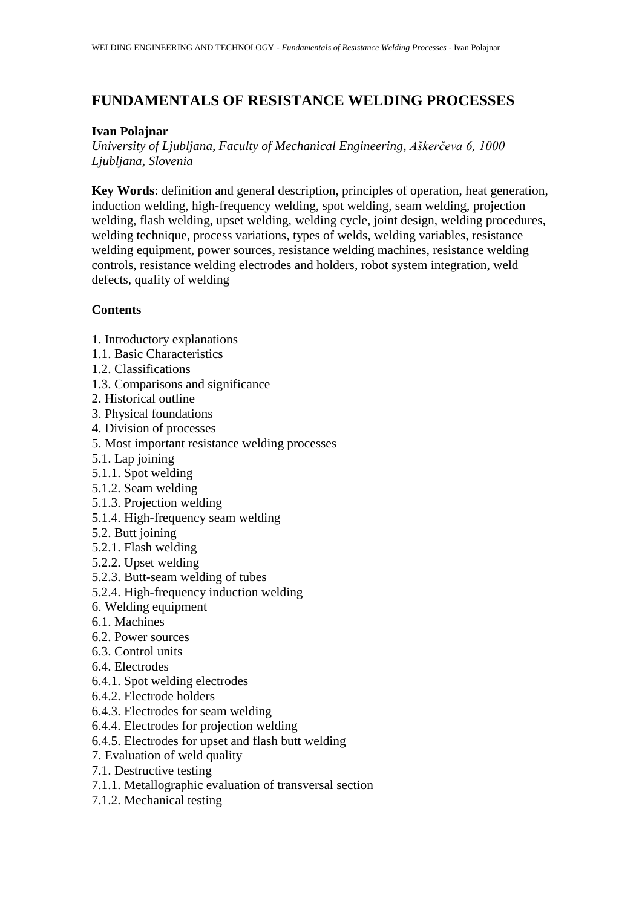# **FUNDAMENTALS OF RESISTANCE WELDING PROCESSES**

# **Ivan Polajnar**

*University of Ljubljana, Faculty of Mechanical Engineering, Aškerčeva 6, 1000 Ljubljana, Slovenia*

**Key Words**: definition and general description, principles of operation, heat generation, induction welding, high-frequency welding, spot welding, seam welding, projection welding, flash welding, upset welding, welding cycle, joint design, welding procedures, welding technique, process variations, types of welds, welding variables, resistance welding equipment, power sources, resistance welding machines, resistance welding controls, resistance welding electrodes and holders, robot system integration, weld defects, quality of welding

# **Contents**

- 1. Introductory explanations
- 1.1. Basic Characteristics
- 1.2. Classifications
- 1.3. Comparisons and significance
- 2. Historical outline
- 3. Physical foundations
- 4. Division of processes
- 5. Most important resistance welding processes
- 5.1. Lap joining
- 5.1.1. Spot welding
- 5.1.2. Seam welding
- 5.1.3. Projection welding
- 5.1.4. High-frequency seam welding
- 5.2. Butt joining
- 5.2.1. Flash welding
- 5.2.2. Upset welding
- 5.2.3. Butt-seam welding of tubes
- 5.2.4. High-frequency induction welding
- 6. Welding equipment
- 6.1. Machines
- 6.2. Power sources
- 6.3. Control units
- 6.4. Electrodes
- 6.4.1. Spot welding electrodes
- 6.4.2. Electrode holders
- 6.4.3. Electrodes for seam welding
- 6.4.4. Electrodes for projection welding
- 6.4.5. Electrodes for upset and flash butt welding
- 7. Evaluation of weld quality
- 7.1. Destructive testing
- 7.1.1. Metallographic evaluation of transversal section
- 7.1.2. Mechanical testing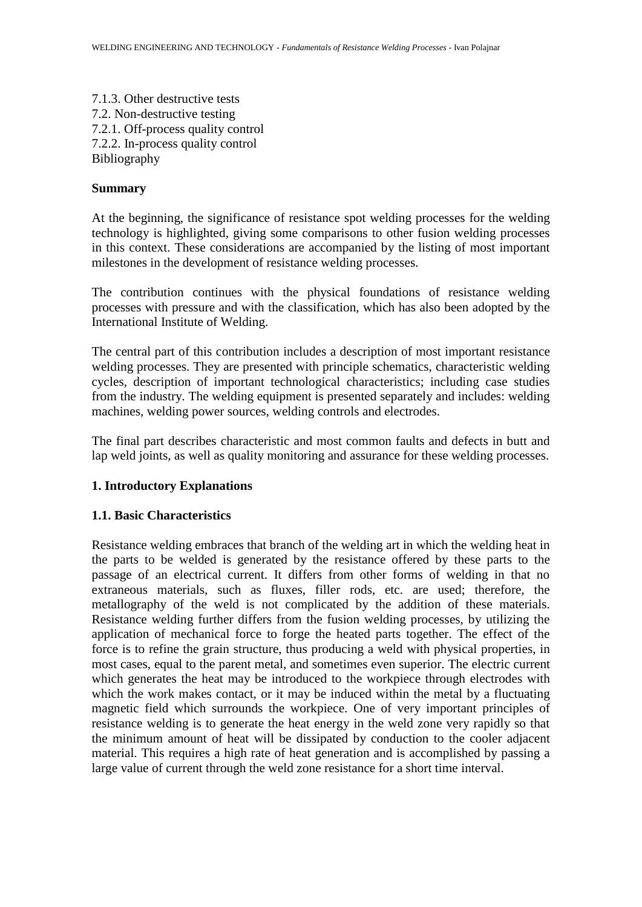7.1.3. Other destructive tests 7.2. Non-destructive testing 7.2.1. Off-process quality control 7.2.2. In-process quality control Bibliography

#### **Summary**

At the beginning, the significance of resistance spot welding processes for the welding technology is highlighted, giving some comparisons to other fusion welding processes in this context. These considerations are accompanied by the listing of most important milestones in the development of resistance welding processes.

The contribution continues with the physical foundations of resistance welding processes with pressure and with the classification, which has also been adopted by the International Institute of Welding.

The central part of this contribution includes a description of most important resistance welding processes. They are presented with principle schematics, characteristic welding cycles, description of important technological characteristics; including case studies from the industry. The welding equipment is presented separately and includes: welding machines, welding power sources, welding controls and electrodes.

The final part describes characteristic and most common faults and defects in butt and lap weld joints, as well as quality monitoring and assurance for these welding processes.

### **1. Introductory Explanations**

## **1.1. Basic Characteristics**

Resistance welding embraces that branch of the welding art in which the welding heat in the parts to be welded is generated by the resistance offered by these parts to the passage of an electrical current. It differs from other forms of welding in that no extraneous materials, such as fluxes, filler rods, etc. are used; therefore, the metallography of the weld is not complicated by the addition of these materials. Resistance welding further differs from the fusion welding processes, by utilizing the application of mechanical force to forge the heated parts together. The effect of the force is to refine the grain structure, thus producing a weld with physical properties, in most cases, equal to the parent metal, and sometimes even superior. The electric current which generates the heat may be introduced to the workpiece through electrodes with which the work makes contact, or it may be induced within the metal by a fluctuating magnetic field which surrounds the workpiece. One of very important principles of resistance welding is to generate the heat energy in the weld zone very rapidly so that the minimum amount of heat will be dissipated by conduction to the cooler adjacent material. This requires a high rate of heat generation and is accomplished by passing a large value of current through the weld zone resistance for a short time interval.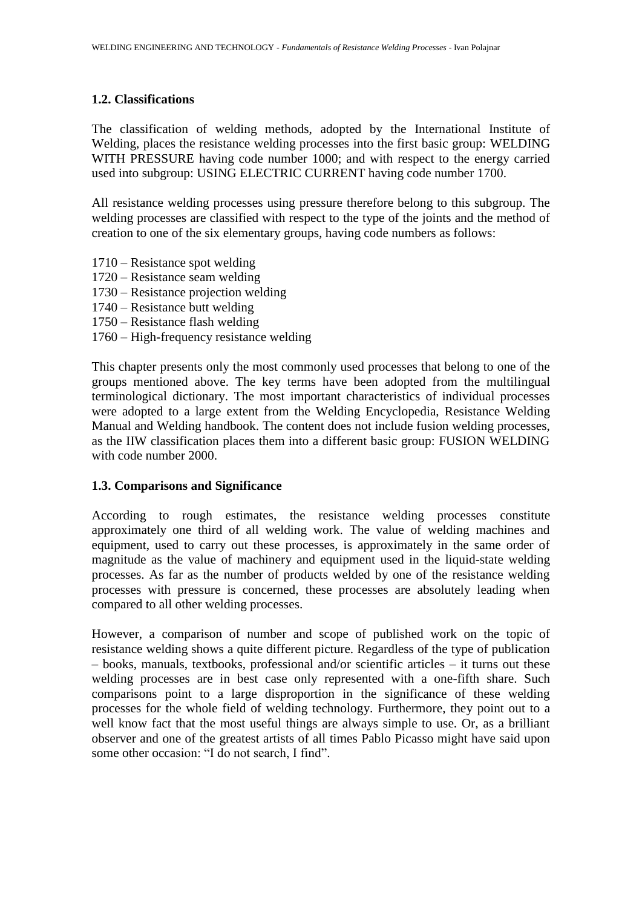# **1.2. Classifications**

The classification of welding methods, adopted by the International Institute of Welding, places the resistance welding processes into the first basic group: WELDING WITH PRESSURE having code number 1000; and with respect to the energy carried used into subgroup: USING ELECTRIC CURRENT having code number 1700.

All resistance welding processes using pressure therefore belong to this subgroup. The welding processes are classified with respect to the type of the joints and the method of creation to one of the six elementary groups, having code numbers as follows:

- 1710 Resistance spot welding
- 1720 Resistance seam welding
- 1730 Resistance projection welding
- 1740 Resistance butt welding
- 1750 Resistance flash welding
- 1760 High-frequency resistance welding

This chapter presents only the most commonly used processes that belong to one of the groups mentioned above. The key terms have been adopted from the multilingual terminological dictionary. The most important characteristics of individual processes were adopted to a large extent from the Welding Encyclopedia, Resistance Welding Manual and Welding handbook. The content does not include fusion welding processes, as the IIW classification places them into a different basic group: FUSION WELDING with code number 2000.

### **1.3. Comparisons and Significance**

According to rough estimates, the resistance welding processes constitute approximately one third of all welding work. The value of welding machines and equipment, used to carry out these processes, is approximately in the same order of magnitude as the value of machinery and equipment used in the liquid-state welding processes. As far as the number of products welded by one of the resistance welding processes with pressure is concerned, these processes are absolutely leading when compared to all other welding processes.

However, a comparison of number and scope of published work on the topic of resistance welding shows a quite different picture. Regardless of the type of publication – books, manuals, textbooks, professional and/or scientific articles – it turns out these welding processes are in best case only represented with a one-fifth share. Such comparisons point to a large disproportion in the significance of these welding processes for the whole field of welding technology. Furthermore, they point out to a well know fact that the most useful things are always simple to use. Or, as a brilliant observer and one of the greatest artists of all times Pablo Picasso might have said upon some other occasion: "I do not search, I find".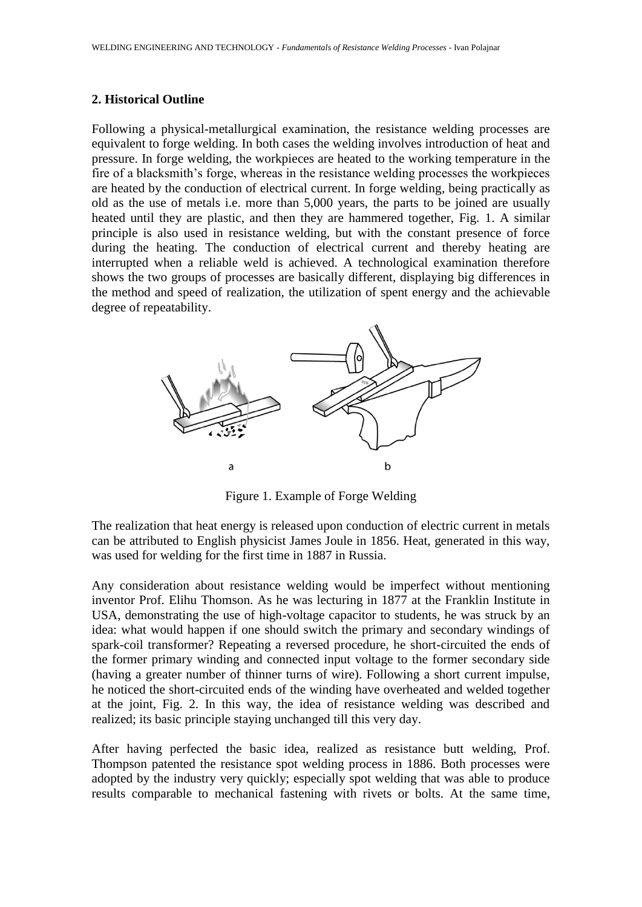### **2. Historical Outline**

Following a physical-metallurgical examination, the resistance welding processes are equivalent to forge welding. In both cases the welding involves introduction of heat and pressure. In forge welding, the workpieces are heated to the working temperature in the fire of a blacksmith's forge, whereas in the resistance welding processes the workpieces are heated by the conduction of electrical current. In forge welding, being practically as old as the use of metals i.e. more than 5,000 years, the parts to be joined are usually heated until they are plastic, and then they are hammered together, Fig. 1. A similar principle is also used in resistance welding, but with the constant presence of force during the heating. The conduction of electrical current and thereby heating are interrupted when a reliable weld is achieved. A technological examination therefore shows the two groups of processes are basically different, displaying big differences in the method and speed of realization, the utilization of spent energy and the achievable degree of repeatability.



Figure 1. Example of Forge Welding

The realization that heat energy is released upon conduction of electric current in metals can be attributed to English physicist James Joule in 1856. Heat, generated in this way, was used for welding for the first time in 1887 in Russia.

Any consideration about resistance welding would be imperfect without mentioning inventor Prof. Elihu Thomson. As he was lecturing in 1877 at the Franklin Institute in USA, demonstrating the use of high-voltage capacitor to students, he was struck by an idea: what would happen if one should switch the primary and secondary windings of spark-coil transformer? Repeating a reversed procedure, he short-circuited the ends of the former primary winding and connected input voltage to the former secondary side (having a greater number of thinner turns of wire). Following a short current impulse, he noticed the short-circuited ends of the winding have overheated and welded together at the joint, Fig. 2. In this way, the idea of resistance welding was described and realized; its basic principle staying unchanged till this very day.

After having perfected the basic idea, realized as resistance butt welding, Prof. Thompson patented the resistance spot welding process in 1886. Both processes were adopted by the industry very quickly; especially spot welding that was able to produce results comparable to mechanical fastening with rivets or bolts. At the same time,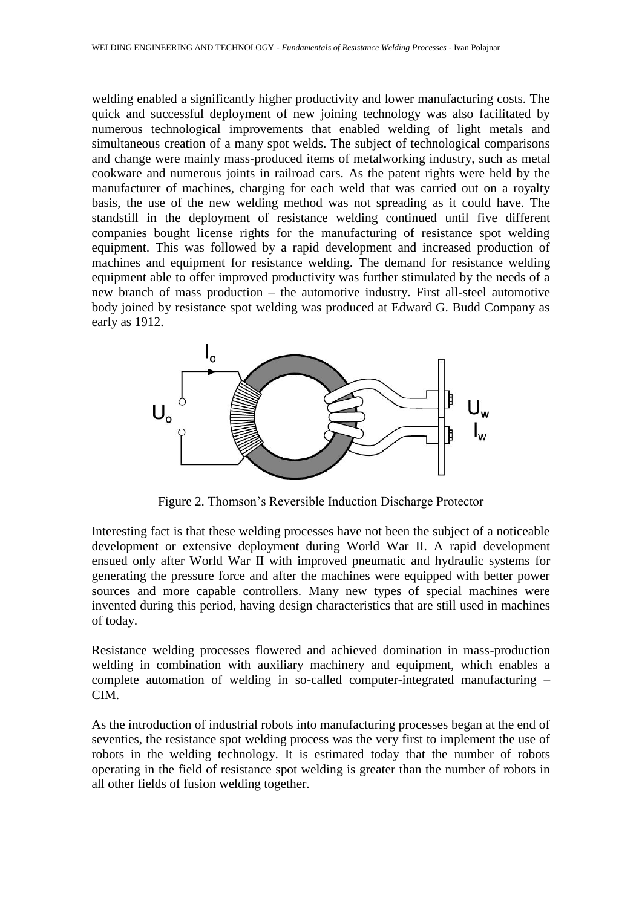welding enabled a significantly higher productivity and lower manufacturing costs. The quick and successful deployment of new joining technology was also facilitated by numerous technological improvements that enabled welding of light metals and simultaneous creation of a many spot welds. The subject of technological comparisons and change were mainly mass-produced items of metalworking industry, such as metal cookware and numerous joints in railroad cars. As the patent rights were held by the manufacturer of machines, charging for each weld that was carried out on a royalty basis, the use of the new welding method was not spreading as it could have. The standstill in the deployment of resistance welding continued until five different companies bought license rights for the manufacturing of resistance spot welding equipment. This was followed by a rapid development and increased production of machines and equipment for resistance welding. The demand for resistance welding equipment able to offer improved productivity was further stimulated by the needs of a new branch of mass production – the automotive industry. First all-steel automotive body joined by resistance spot welding was produced at Edward G. Budd Company as early as 1912.



Figure 2. Thomson's Reversible Induction Discharge Protector

Interesting fact is that these welding processes have not been the subject of a noticeable development or extensive deployment during World War II. A rapid development ensued only after World War II with improved pneumatic and hydraulic systems for generating the pressure force and after the machines were equipped with better power sources and more capable controllers. Many new types of special machines were invented during this period, having design characteristics that are still used in machines of today.

Resistance welding processes flowered and achieved domination in mass-production welding in combination with auxiliary machinery and equipment, which enables a complete automation of welding in so-called computer-integrated manufacturing – CIM.

As the introduction of industrial robots into manufacturing processes began at the end of seventies, the resistance spot welding process was the very first to implement the use of robots in the welding technology. It is estimated today that the number of robots operating in the field of resistance spot welding is greater than the number of robots in all other fields of fusion welding together.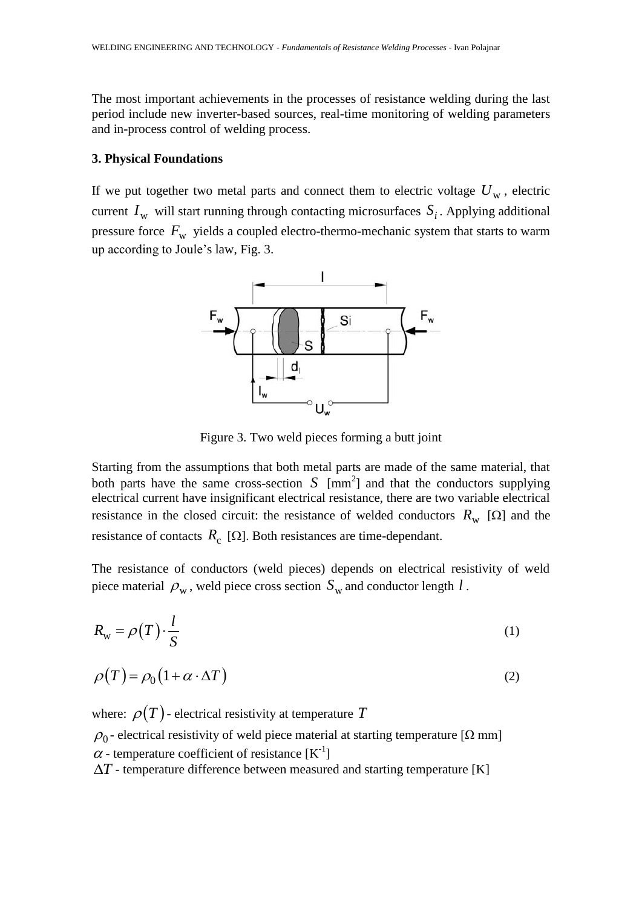The most important achievements in the processes of resistance welding during the last period include new inverter-based sources, real-time monitoring of welding parameters and in-process control of welding process.

#### **3. Physical Foundations**

If we put together two metal parts and connect them to electric voltage  $U_w$ , electric current  $I_w$  will start running through contacting microsurfaces  $S_i$ . Applying additional pressure force  $F_{\rm w}$  yields a coupled electro-thermo-mechanic system that starts to warm up according to Joule's law, Fig. 3.



Figure 3. Two weld pieces forming a butt joint

Starting from the assumptions that both metal parts are made of the same material, that both parts have the same cross-section  $S$  [mm<sup>2</sup>] and that the conductors supplying electrical current have insignificant electrical resistance, there are two variable electrical resistance in the closed circuit: the resistance of welded conductors  $R_{\rm w}$  [ $\Omega$ ] and the resistance of contacts  $R_c$  [ $\Omega$ ]. Both resistances are time-dependant.

The resistance of conductors (weld pieces) depends on electrical resistivity of weld piece material  $\rho_w$ , weld piece cross section  $S_w$  and conductor length  $l$ .

$$
R_{\rm w} = \rho(T) \cdot \frac{l}{S} \tag{1}
$$

$$
\rho(T) = \rho_0 (1 + \alpha \cdot \Delta T) \tag{2}
$$

where:  $\rho(T)$  - electrical resistivity at temperature T  $\rho_0$ - electrical resistivity of weld piece material at starting temperature [ $\Omega$  mm]  $\alpha$  - temperature coefficient of resistance [K<sup>-1</sup>]  $\Delta T$  - temperature difference between measured and starting temperature [K]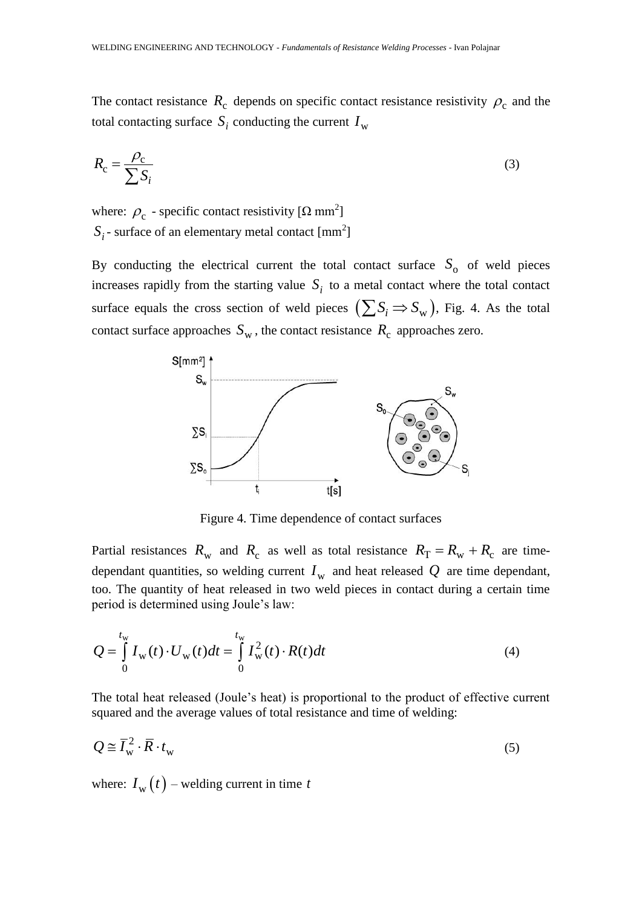The contact resistance  $R_c$  depends on specific contact resistance resistivity  $\rho_c$  and the total contacting surface  $S_i$  conducting the current  $I_w$ 

$$
R_{\rm c} = \frac{\rho_{\rm c}}{\sum S_i} \tag{3}
$$

where:  $\rho_c$  - specific contact resistivity [ $\Omega$  mm<sup>2</sup>]  $S_i$  - surface of an elementary metal contact  $\text{[mm}^2\text{]}$ 

By conducting the electrical current the total contact surface  $S_0$  of weld pieces increases rapidly from the starting value  $S_i$  to a metal contact where the total contact surface equals the cross section of weld pieces  $(\sum S_i \Rightarrow S_{w})$ , Fig. 4. As the total contact surface approaches  $S_w$ , the contact resistance  $R_c$  approaches zero.



Figure 4. Time dependence of contact surfaces

Partial resistances  $R_{\rm w}$  and  $R_{\rm c}$  as well as total resistance  $R_{\rm T} = R_{\rm w} + R_{\rm c}$  are timedependant quantities, so welding current  $I_w$  and heat released  $Q$  are time dependant, too. The quantity of heat released in two weld pieces in contact during a certain time period is determined using Joule's law:

$$
Q = \int_{0}^{t_{\rm w}} I_{\rm w}(t) \cdot U_{\rm w}(t) dt = \int_{0}^{t_{\rm w}} I_{\rm w}^{2}(t) \cdot R(t) dt
$$
 (4)

The total heat released (Joule's heat) is proportional to the product of effective current squared and the average values of total resistance and time of welding:

$$
Q \cong \overline{I}_{\rm w}^2 \cdot \overline{R} \cdot t_{\rm w} \tag{5}
$$

where:  $I_{\rm w}(t)$  – welding current in time t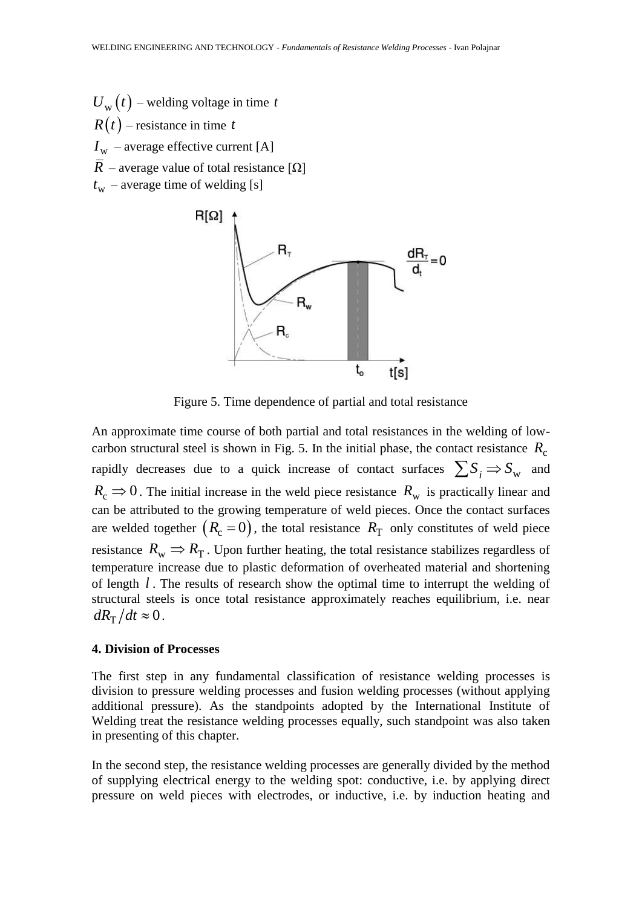$U_{\rm w}(t)$  – welding voltage in time t  $R(t)$  – resistance in time t  $I_{\rm w}$  – average effective current [A] *R* – average value of total resistance  $[\Omega]$  $t_{\rm w}$  – average time of welding [s]



Figure 5. Time dependence of partial and total resistance

An approximate time course of both partial and total resistances in the welding of lowcarbon structural steel is shown in Fig. 5. In the initial phase, the contact resistance  $R_c$ rapidly decreases due to a quick increase of contact surfaces  $\sum S_i \Rightarrow S_{\rm w}$  and  $R_c \Rightarrow 0$ . The initial increase in the weld piece resistance  $R_w$  is practically linear and can be attributed to the growing temperature of weld pieces. Once the contact surfaces are welded together  $(R_c = 0)$ , the total resistance  $R_T$  only constitutes of weld piece resistance  $R_{\rm w} \Rightarrow R_{\rm T}$ . Upon further heating, the total resistance stabilizes regardless of temperature increase due to plastic deformation of overheated material and shortening of length *l* . The results of research show the optimal time to interrupt the welding of structural steels is once total resistance approximately reaches equilibrium, i.e. near  $dR_{\rm T}/dt \approx 0$ .

#### **4. Division of Processes**

The first step in any fundamental classification of resistance welding processes is division to pressure welding processes and fusion welding processes (without applying additional pressure). As the standpoints adopted by the International Institute of Welding treat the resistance welding processes equally, such standpoint was also taken in presenting of this chapter.

In the second step, the resistance welding processes are generally divided by the method of supplying electrical energy to the welding spot: conductive, i.e. by applying direct pressure on weld pieces with electrodes, or inductive, i.e. by induction heating and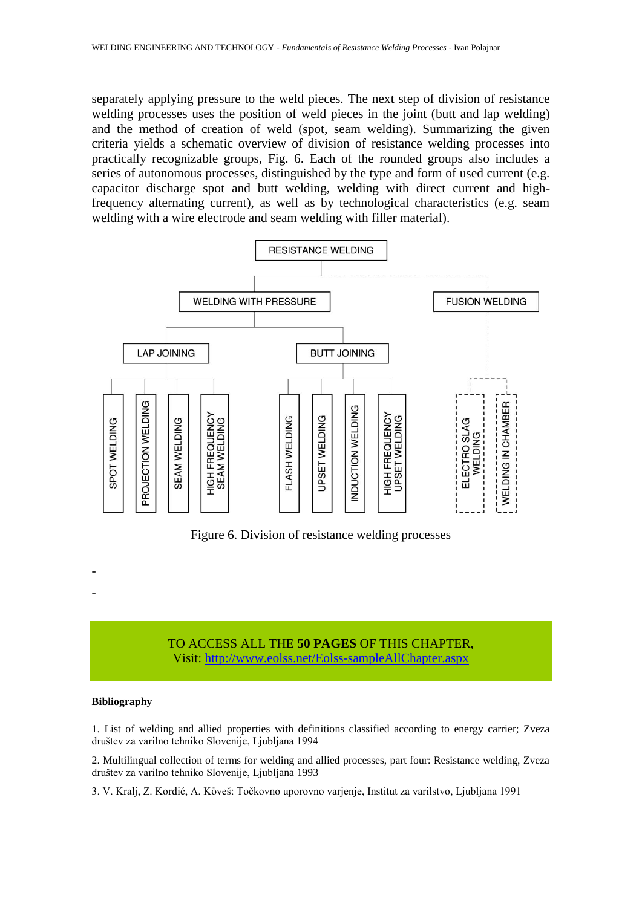separately applying pressure to the weld pieces. The next step of division of resistance welding processes uses the position of weld pieces in the joint (butt and lap welding) and the method of creation of weld (spot, seam welding). Summarizing the given criteria yields a schematic overview of division of resistance welding processes into practically recognizable groups, Fig. 6. Each of the rounded groups also includes a series of autonomous processes, distinguished by the type and form of used current (e.g. capacitor discharge spot and butt welding, welding with direct current and highfrequency alternating current), as well as by technological characteristics (e.g. seam welding with a wire electrode and seam welding with filler material).



Figure 6. Division of resistance welding processes

# TO ACCESS ALL THE **50 PAGES** OF THIS CHAPTER, Visit[: http://www.eolss.net/Eolss-sampleAllChapter.aspx](https://www.eolss.net/ebooklib/sc_cart.aspx?File=E6-171-05)

#### **Bibliography**

- -

1. List of welding and allied properties with definitions classified according to energy carrier; Zveza društev za varilno tehniko Slovenije, Ljubljana 1994

2. Multilingual collection of terms for welding and allied processes, part four: Resistance welding, Zveza društev za varilno tehniko Slovenije, Ljubljana 1993

3. V. Kralj, Z. Kordić, A. Köveš: Točkovno uporovno varjenje, Institut za varilstvo, Ljubljana 1991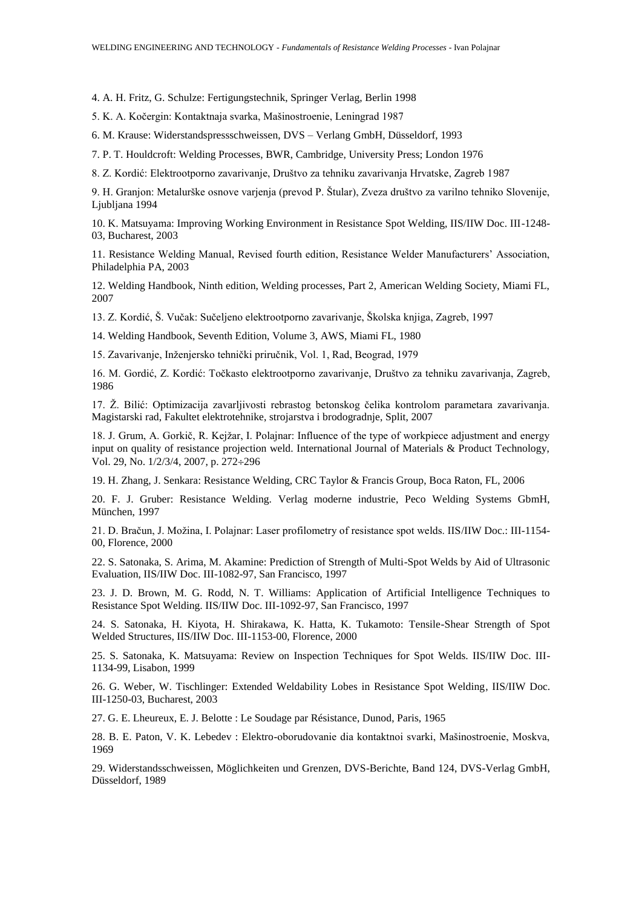4. A. H. Fritz, G. Schulze: Fertigungstechnik, Springer Verlag, Berlin 1998

5. K. A. Kočergin: Kontaktnaja svarka, Mašinostroenie, Leningrad 1987

6. M. Krause: Widerstandspressschweissen, DVS – Verlang GmbH, Düsseldorf, 1993

7. P. T. Houldcroft: Welding Processes, BWR, Cambridge, University Press; London 1976

8. Z. Kordić: Elektrootporno zavarivanje, Društvo za tehniku zavarivanja Hrvatske, Zagreb 1987

9. H. Granjon: Metalurške osnove varjenja (prevod P. Štular), Zveza društvo za varilno tehniko Slovenije, Ljubljana 1994

10. K. Matsuyama: Improving Working Environment in Resistance Spot Welding, IIS/IIW Doc. III-1248- 03, Bucharest, 2003

11. Resistance Welding Manual, Revised fourth edition, Resistance Welder Manufacturers' Association, Philadelphia PA, 2003

12. Welding Handbook, Ninth edition, Welding processes, Part 2, American Welding Society, Miami FL, 2007

13. Z. Kordić, Š. Vučak: Sučeljeno elektrootporno zavarivanje, Školska knjiga, Zagreb, 1997

14. Welding Handbook, Seventh Edition, Volume 3, AWS, Miami FL, 1980

15. Zavarivanje, Inženjersko tehnički priručnik, Vol. 1, Rad, Beograd, 1979

16. M. Gordić, Z. Kordić: Točkasto elektrootporno zavarivanje, Društvo za tehniku zavarivanja, Zagreb, 1986

17. Ž. Bilić: Optimizacija zavarljivosti rebrastog betonskog čelika kontrolom parametara zavarivanja. Magistarski rad, Fakultet elektrotehnike, strojarstva i brodogradnje, Split, 2007

18. J. Grum, A. Gorkič, R. Kejžar, I. Polajnar: Influence of the type of workpiece adjustment and energy input on quality of resistance projection weld. International Journal of Materials & Product Technology, Vol. 29, No. 1/2/3/4, 2007, p. 272÷296

19. H. Zhang, J. Senkara: Resistance Welding, CRC Taylor & Francis Group, Boca Raton, FL, 2006

20. F. J. Gruber: Resistance Welding. Verlag moderne industrie, Peco Welding Systems GbmH, München, 1997

21. D. Bračun, J. Možina, I. Polajnar: Laser profilometry of resistance spot welds. IIS/IIW Doc.: III-1154-00, Florence, 2000

22. S. Satonaka, S. Arima, M. Akamine: Prediction of Strength of Multi-Spot Welds by Aid of Ultrasonic Evaluation, IIS/IIW Doc. III-1082-97, San Francisco, 1997

23. J. D. Brown, M. G. Rodd, N. T. Williams: Application of Artificial Intelligence Techniques to Resistance Spot Welding. IIS/IIW Doc. III-1092-97, San Francisco, 1997

24. S. Satonaka, H. Kiyota, H. Shirakawa, K. Hatta, K. Tukamoto: Tensile-Shear Strength of Spot Welded Structures, IIS/IIW Doc. III-1153-00, Florence, 2000

25. S. Satonaka, K. Matsuyama: Review on Inspection Techniques for Spot Welds. IIS/IIW Doc. III-1134-99, Lisabon, 1999

26. G. Weber, W. Tischlinger: Extended Weldability Lobes in Resistance Spot Welding, IIS/IIW Doc. III-1250-03, Bucharest, 2003

27. G. E. Lheureux, E. J. Belotte : Le Soudage par Résistance, Dunod, Paris, 1965

28. B. E. Paton, V. K. Lebedev : Elektro-oborudovanie dia kontaktnoi svarki, Mašinostroenie, Moskva, 1969

29. Widerstandsschweissen, Möglichkeiten und Grenzen, DVS-Berichte, Band 124, DVS-Verlag GmbH, Düsseldorf, 1989